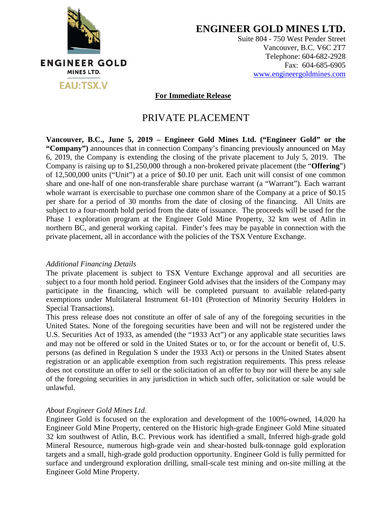

**ENGINEER GOLD MINES LTD.**

Suite 804 - 750 West Pender Street Vancouver, B.C. V6C 2T7 Telephone: 604-682-2928 Fax: 604-685-6905 www.engineergoldmines.com

 **For Immediate Release**

## PRIVATE PLACEMENT

**Vancouver, B.C., June 5, 2019 – Engineer Gold Mines Ltd. ("Engineer Gold" or the "Company")** announces that in connection Company's financing previously announced on May 6, 2019, the Company is extending the closing of the private placement to July 5, 2019. The Company is raising up to \$1,250,000 through a non-brokered private placement (the "**Offering**") of 12,500,000 units ("Unit") at a price of \$0.10 per unit. Each unit will consist of one common share and one-half of one non-transferable share purchase warrant (a "Warrant"). Each warrant whole warrant is exercisable to purchase one common share of the Company at a price of \$0.15 per share for a period of 30 months from the date of closing of the financing. All Units are subject to a four-month hold period from the date of issuance. The proceeds will be used for the Phase 1 exploration program at the Engineer Gold Mine Property, 32 km west of Atlin in northern BC, and general working capital. Finder's fees may be payable in connection with the private placement, all in accordance with the policies of the TSX Venture Exchange.

## *Additional Financing Details*

The private placement is subject to TSX Venture Exchange approval and all securities are subject to a four month hold period. Engineer Gold advises that the insiders of the Company may participate in the financing, which will be completed pursuant to available related-party exemptions under Multilateral Instrument 61-101 (Protection of Minority Security Holders in Special Transactions).

This press release does not constitute an offer of sale of any of the foregoing securities in the United States. None of the foregoing securities have been and will not be registered under the U.S. Securities Act of 1933, as amended (the "1933 Act") or any applicable state securities laws and may not be offered or sold in the United States or to, or for the account or benefit of, U.S. persons (as defined in Regulation S under the 1933 Act) or persons in the United States absent registration or an applicable exemption from such registration requirements. This press release does not constitute an offer to sell or the solicitation of an offer to buy nor will there be any sale of the foregoing securities in any jurisdiction in which such offer, solicitation or sale would be unlawful.

## *About Engineer Gold Mines Ltd.*

Engineer Gold is focused on the exploration and development of the 100%-owned, 14,020 ha Engineer Gold Mine Property, centered on the Historic high-grade Engineer Gold Mine situated 32 km southwest of Atlin, B.C. Previous work has identified a small, Inferred high-grade gold Mineral Resource, numerous high-grade vein and shear-hosted bulk-tonnage gold exploration targets and a small, high-grade gold production opportunity. Engineer Gold is fully permitted for surface and underground exploration drilling, small-scale test mining and on-site milling at the Engineer Gold Mine Property.